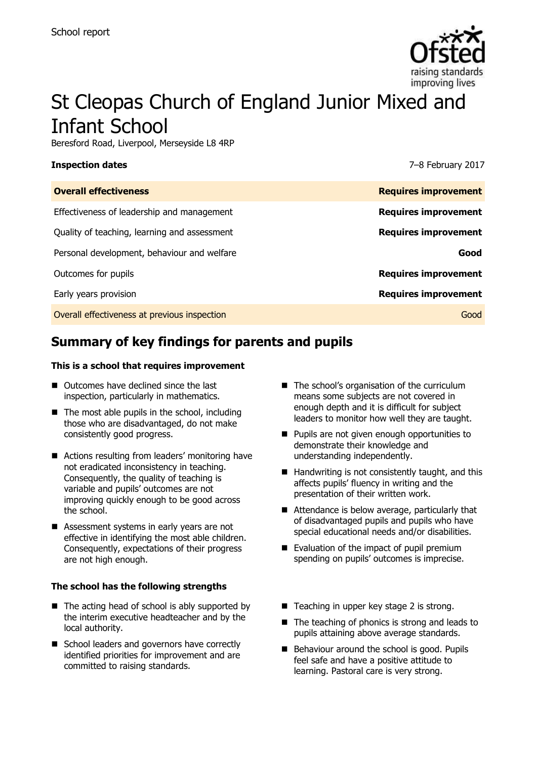

# St Cleopas Church of England Junior Mixed and Infant School

Beresford Road, Liverpool, Merseyside L8 4RP

### **Inspection dates** 7–8 February 2017

| <b>Overall effectiveness</b>                 | <b>Requires improvement</b> |
|----------------------------------------------|-----------------------------|
| Effectiveness of leadership and management   | <b>Requires improvement</b> |
| Quality of teaching, learning and assessment | <b>Requires improvement</b> |
| Personal development, behaviour and welfare  | Good                        |
| Outcomes for pupils                          | <b>Requires improvement</b> |
| Early years provision                        | <b>Requires improvement</b> |
| Overall effectiveness at previous inspection | Good                        |

# **Summary of key findings for parents and pupils**

### **This is a school that requires improvement**

- Outcomes have declined since the last inspection, particularly in mathematics.
- $\blacksquare$  The most able pupils in the school, including those who are disadvantaged, do not make consistently good progress.
- Actions resulting from leaders' monitoring have not eradicated inconsistency in teaching. Consequently, the quality of teaching is variable and pupils' outcomes are not improving quickly enough to be good across the school.
- Assessment systems in early years are not effective in identifying the most able children. Consequently, expectations of their progress are not high enough.

### **The school has the following strengths**

- $\blacksquare$  The acting head of school is ably supported by the interim executive headteacher and by the local authority.
- School leaders and governors have correctly identified priorities for improvement and are committed to raising standards.
- The school's organisation of the curriculum means some subjects are not covered in enough depth and it is difficult for subject leaders to monitor how well they are taught.
- **Pupils are not given enough opportunities to** demonstrate their knowledge and understanding independently.
- $\blacksquare$  Handwriting is not consistently taught, and this affects pupils' fluency in writing and the presentation of their written work.
- Attendance is below average, particularly that of disadvantaged pupils and pupils who have special educational needs and/or disabilities.
- Evaluation of the impact of pupil premium spending on pupils' outcomes is imprecise.
- Teaching in upper key stage 2 is strong.
- The teaching of phonics is strong and leads to pupils attaining above average standards.
- Behaviour around the school is good. Pupils feel safe and have a positive attitude to learning. Pastoral care is very strong.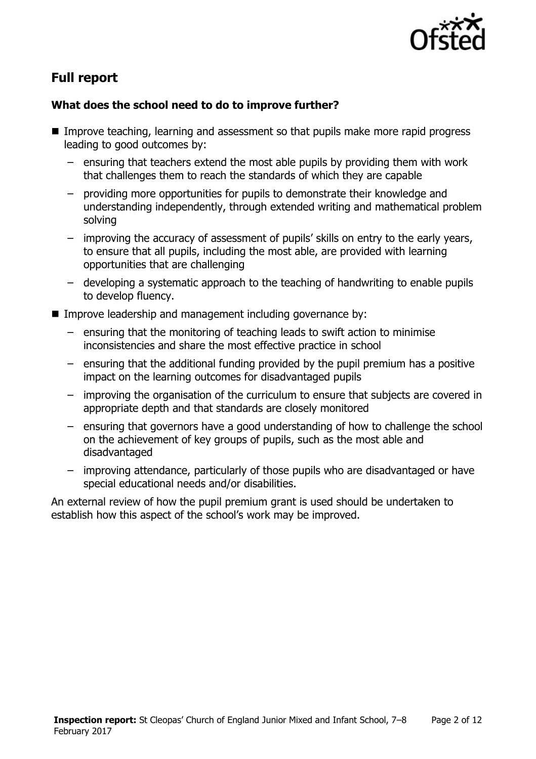

# **Full report**

# **What does the school need to do to improve further?**

- Improve teaching, learning and assessment so that pupils make more rapid progress leading to good outcomes by:
	- ensuring that teachers extend the most able pupils by providing them with work that challenges them to reach the standards of which they are capable
	- providing more opportunities for pupils to demonstrate their knowledge and understanding independently, through extended writing and mathematical problem solving
	- improving the accuracy of assessment of pupils' skills on entry to the early years, to ensure that all pupils, including the most able, are provided with learning opportunities that are challenging
	- developing a systematic approach to the teaching of handwriting to enable pupils to develop fluency.
- **IMPROVE LATER 10 IMPROVE ISOM** and management including governance by:
	- ensuring that the monitoring of teaching leads to swift action to minimise inconsistencies and share the most effective practice in school
	- ensuring that the additional funding provided by the pupil premium has a positive impact on the learning outcomes for disadvantaged pupils
	- improving the organisation of the curriculum to ensure that subjects are covered in appropriate depth and that standards are closely monitored
	- ensuring that governors have a good understanding of how to challenge the school on the achievement of key groups of pupils, such as the most able and disadvantaged
	- improving attendance, particularly of those pupils who are disadvantaged or have special educational needs and/or disabilities.

An external review of how the pupil premium grant is used should be undertaken to establish how this aspect of the school's work may be improved.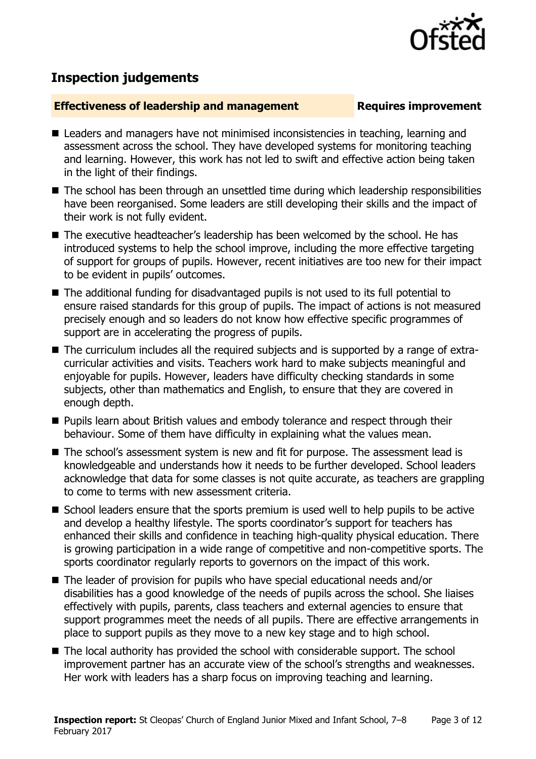

# **Inspection judgements**

### **Effectiveness of leadership and management Requires improvement**

- Leaders and managers have not minimised inconsistencies in teaching, learning and assessment across the school. They have developed systems for monitoring teaching and learning. However, this work has not led to swift and effective action being taken in the light of their findings.
- The school has been through an unsettled time during which leadership responsibilities have been reorganised. Some leaders are still developing their skills and the impact of their work is not fully evident.
- The executive headteacher's leadership has been welcomed by the school. He has introduced systems to help the school improve, including the more effective targeting of support for groups of pupils. However, recent initiatives are too new for their impact to be evident in pupils' outcomes.
- The additional funding for disadvantaged pupils is not used to its full potential to ensure raised standards for this group of pupils. The impact of actions is not measured precisely enough and so leaders do not know how effective specific programmes of support are in accelerating the progress of pupils.
- The curriculum includes all the required subjects and is supported by a range of extracurricular activities and visits. Teachers work hard to make subjects meaningful and enjoyable for pupils. However, leaders have difficulty checking standards in some subjects, other than mathematics and English, to ensure that they are covered in enough depth.
- **Pupils learn about British values and embody tolerance and respect through their** behaviour. Some of them have difficulty in explaining what the values mean.
- The school's assessment system is new and fit for purpose. The assessment lead is knowledgeable and understands how it needs to be further developed. School leaders acknowledge that data for some classes is not quite accurate, as teachers are grappling to come to terms with new assessment criteria.
- School leaders ensure that the sports premium is used well to help pupils to be active and develop a healthy lifestyle. The sports coordinator's support for teachers has enhanced their skills and confidence in teaching high-quality physical education. There is growing participation in a wide range of competitive and non-competitive sports. The sports coordinator regularly reports to governors on the impact of this work.
- The leader of provision for pupils who have special educational needs and/or disabilities has a good knowledge of the needs of pupils across the school. She liaises effectively with pupils, parents, class teachers and external agencies to ensure that support programmes meet the needs of all pupils. There are effective arrangements in place to support pupils as they move to a new key stage and to high school.
- The local authority has provided the school with considerable support. The school improvement partner has an accurate view of the school's strengths and weaknesses. Her work with leaders has a sharp focus on improving teaching and learning.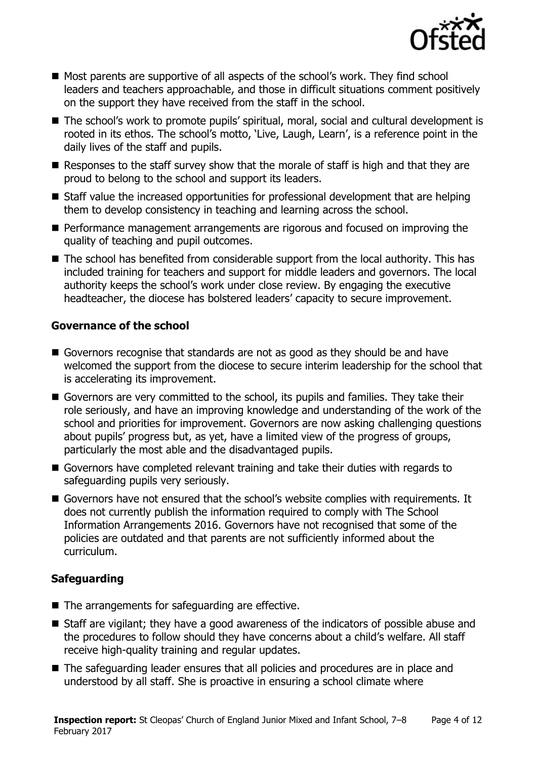

- Most parents are supportive of all aspects of the school's work. They find school leaders and teachers approachable, and those in difficult situations comment positively on the support they have received from the staff in the school.
- The school's work to promote pupils' spiritual, moral, social and cultural development is rooted in its ethos. The school's motto, 'Live, Laugh, Learn', is a reference point in the daily lives of the staff and pupils.
- Responses to the staff survey show that the morale of staff is high and that they are proud to belong to the school and support its leaders.
- Staff value the increased opportunities for professional development that are helping them to develop consistency in teaching and learning across the school.
- **Performance management arrangements are rigorous and focused on improving the** quality of teaching and pupil outcomes.
- The school has benefited from considerable support from the local authority. This has included training for teachers and support for middle leaders and governors. The local authority keeps the school's work under close review. By engaging the executive headteacher, the diocese has bolstered leaders' capacity to secure improvement.

# **Governance of the school**

- Governors recognise that standards are not as good as they should be and have welcomed the support from the diocese to secure interim leadership for the school that is accelerating its improvement.
- Governors are very committed to the school, its pupils and families. They take their role seriously, and have an improving knowledge and understanding of the work of the school and priorities for improvement. Governors are now asking challenging questions about pupils' progress but, as yet, have a limited view of the progress of groups, particularly the most able and the disadvantaged pupils.
- Governors have completed relevant training and take their duties with regards to safeguarding pupils very seriously.
- Governors have not ensured that the school's website complies with requirements. It does not currently publish the information required to comply with The School Information Arrangements 2016. Governors have not recognised that some of the policies are outdated and that parents are not sufficiently informed about the curriculum.

# **Safeguarding**

- $\blacksquare$  The arrangements for safeguarding are effective.
- Staff are vigilant; they have a good awareness of the indicators of possible abuse and the procedures to follow should they have concerns about a child's welfare. All staff receive high-quality training and regular updates.
- The safeguarding leader ensures that all policies and procedures are in place and understood by all staff. She is proactive in ensuring a school climate where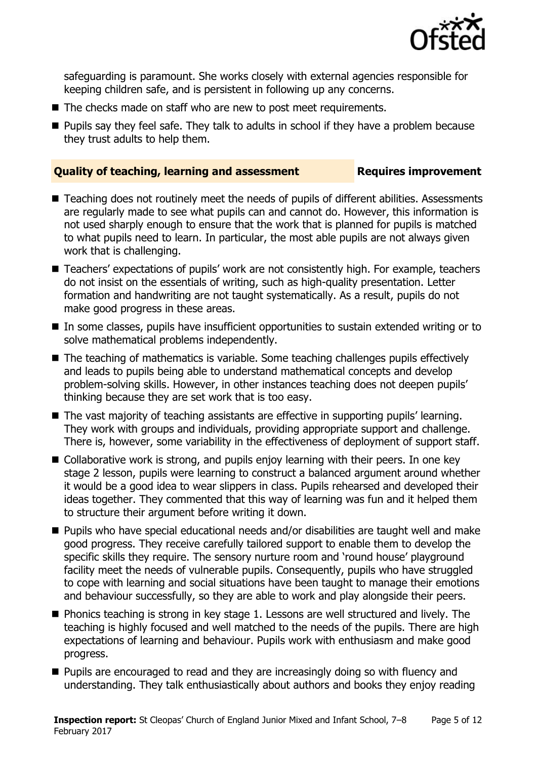

safeguarding is paramount. She works closely with external agencies responsible for keeping children safe, and is persistent in following up any concerns.

- The checks made on staff who are new to post meet requirements.
- **Pupils say they feel safe. They talk to adults in school if they have a problem because** they trust adults to help them.

# **Quality of teaching, learning and assessment Requires improvement**

- Teaching does not routinely meet the needs of pupils of different abilities. Assessments are regularly made to see what pupils can and cannot do. However, this information is not used sharply enough to ensure that the work that is planned for pupils is matched to what pupils need to learn. In particular, the most able pupils are not always given work that is challenging.
- Teachers' expectations of pupils' work are not consistently high. For example, teachers do not insist on the essentials of writing, such as high-quality presentation. Letter formation and handwriting are not taught systematically. As a result, pupils do not make good progress in these areas.
- In some classes, pupils have insufficient opportunities to sustain extended writing or to solve mathematical problems independently.
- The teaching of mathematics is variable. Some teaching challenges pupils effectively and leads to pupils being able to understand mathematical concepts and develop problem-solving skills. However, in other instances teaching does not deepen pupils' thinking because they are set work that is too easy.
- The vast majority of teaching assistants are effective in supporting pupils' learning. They work with groups and individuals, providing appropriate support and challenge. There is, however, some variability in the effectiveness of deployment of support staff.
- Collaborative work is strong, and pupils enjoy learning with their peers. In one key stage 2 lesson, pupils were learning to construct a balanced argument around whether it would be a good idea to wear slippers in class. Pupils rehearsed and developed their ideas together. They commented that this way of learning was fun and it helped them to structure their argument before writing it down.
- Pupils who have special educational needs and/or disabilities are taught well and make good progress. They receive carefully tailored support to enable them to develop the specific skills they require. The sensory nurture room and 'round house' playground facility meet the needs of vulnerable pupils. Consequently, pupils who have struggled to cope with learning and social situations have been taught to manage their emotions and behaviour successfully, so they are able to work and play alongside their peers.
- Phonics teaching is strong in key stage 1. Lessons are well structured and lively. The teaching is highly focused and well matched to the needs of the pupils. There are high expectations of learning and behaviour. Pupils work with enthusiasm and make good progress.
- **Pupils are encouraged to read and they are increasingly doing so with fluency and** understanding. They talk enthusiastically about authors and books they enjoy reading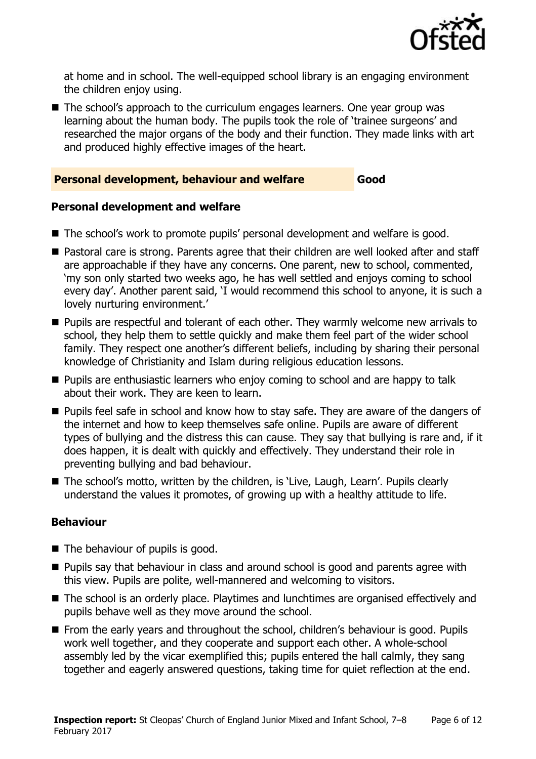

at home and in school. The well-equipped school library is an engaging environment the children enjoy using.

The school's approach to the curriculum engages learners. One year group was learning about the human body. The pupils took the role of 'trainee surgeons' and researched the major organs of the body and their function. They made links with art and produced highly effective images of the heart.

# **Personal development, behaviour and welfare Good**

# **Personal development and welfare**

- The school's work to promote pupils' personal development and welfare is good.
- Pastoral care is strong. Parents agree that their children are well looked after and staff are approachable if they have any concerns. One parent, new to school, commented, 'my son only started two weeks ago, he has well settled and enjoys coming to school every day'. Another parent said, 'I would recommend this school to anyone, it is such a lovely nurturing environment.'
- **Pupils are respectful and tolerant of each other. They warmly welcome new arrivals to** school, they help them to settle quickly and make them feel part of the wider school family. They respect one another's different beliefs, including by sharing their personal knowledge of Christianity and Islam during religious education lessons.
- **Pupils are enthusiastic learners who enjoy coming to school and are happy to talk** about their work. They are keen to learn.
- **Pupils feel safe in school and know how to stay safe. They are aware of the dangers of** the internet and how to keep themselves safe online. Pupils are aware of different types of bullying and the distress this can cause. They say that bullying is rare and, if it does happen, it is dealt with quickly and effectively. They understand their role in preventing bullying and bad behaviour.
- The school's motto, written by the children, is 'Live, Laugh, Learn'. Pupils clearly understand the values it promotes, of growing up with a healthy attitude to life.

# **Behaviour**

- The behaviour of pupils is good.
- **Pupils say that behaviour in class and around school is good and parents agree with** this view. Pupils are polite, well-mannered and welcoming to visitors.
- The school is an orderly place. Playtimes and lunchtimes are organised effectively and pupils behave well as they move around the school.
- From the early years and throughout the school, children's behaviour is good. Pupils work well together, and they cooperate and support each other. A whole-school assembly led by the vicar exemplified this; pupils entered the hall calmly, they sang together and eagerly answered questions, taking time for quiet reflection at the end.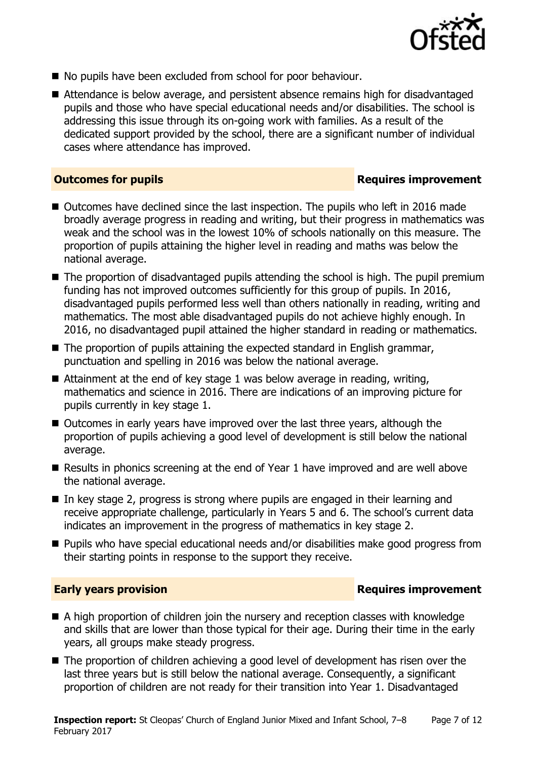

- No pupils have been excluded from school for poor behaviour.
- Attendance is below average, and persistent absence remains high for disadvantaged pupils and those who have special educational needs and/or disabilities. The school is addressing this issue through its on-going work with families. As a result of the dedicated support provided by the school, there are a significant number of individual cases where attendance has improved.

# **Outcomes for pupils Requires improvement**

- Outcomes have declined since the last inspection. The pupils who left in 2016 made broadly average progress in reading and writing, but their progress in mathematics was weak and the school was in the lowest 10% of schools nationally on this measure. The proportion of pupils attaining the higher level in reading and maths was below the national average.
- The proportion of disadvantaged pupils attending the school is high. The pupil premium funding has not improved outcomes sufficiently for this group of pupils. In 2016, disadvantaged pupils performed less well than others nationally in reading, writing and mathematics. The most able disadvantaged pupils do not achieve highly enough. In 2016, no disadvantaged pupil attained the higher standard in reading or mathematics.
- The proportion of pupils attaining the expected standard in English grammar, punctuation and spelling in 2016 was below the national average.
- Attainment at the end of key stage 1 was below average in reading, writing, mathematics and science in 2016. There are indications of an improving picture for pupils currently in key stage 1.
- Outcomes in early years have improved over the last three years, although the proportion of pupils achieving a good level of development is still below the national average.
- Results in phonics screening at the end of Year 1 have improved and are well above the national average.
- In key stage 2, progress is strong where pupils are engaged in their learning and receive appropriate challenge, particularly in Years 5 and 6. The school's current data indicates an improvement in the progress of mathematics in key stage 2.
- Pupils who have special educational needs and/or disabilities make good progress from their starting points in response to the support they receive.

# **Early years provision**

- A high proportion of children join the nursery and reception classes with knowledge and skills that are lower than those typical for their age. During their time in the early years, all groups make steady progress.
- The proportion of children achieving a good level of development has risen over the last three years but is still below the national average. Consequently, a significant proportion of children are not ready for their transition into Year 1. Disadvantaged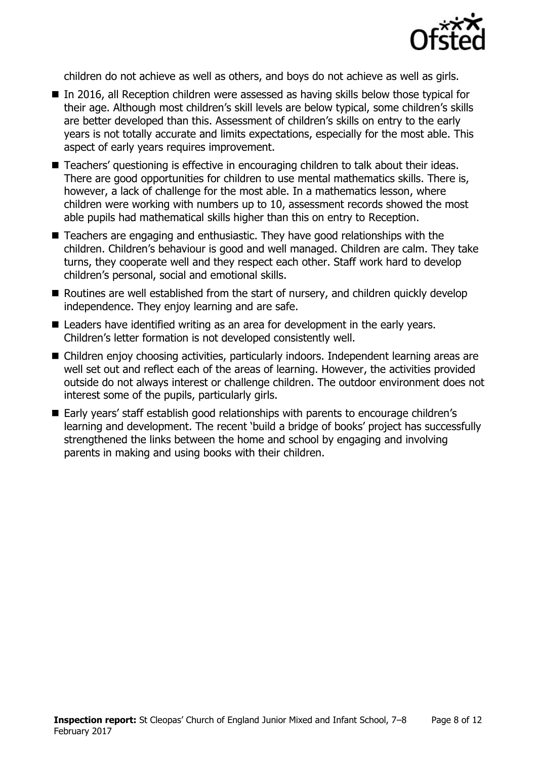

children do not achieve as well as others, and boys do not achieve as well as girls.

- In 2016, all Reception children were assessed as having skills below those typical for their age. Although most children's skill levels are below typical, some children's skills are better developed than this. Assessment of children's skills on entry to the early years is not totally accurate and limits expectations, especially for the most able. This aspect of early years requires improvement.
- Teachers' questioning is effective in encouraging children to talk about their ideas. There are good opportunities for children to use mental mathematics skills. There is, however, a lack of challenge for the most able. In a mathematics lesson, where children were working with numbers up to 10, assessment records showed the most able pupils had mathematical skills higher than this on entry to Reception.
- Teachers are engaging and enthusiastic. They have good relationships with the children. Children's behaviour is good and well managed. Children are calm. They take turns, they cooperate well and they respect each other. Staff work hard to develop children's personal, social and emotional skills.
- Routines are well established from the start of nursery, and children quickly develop independence. They enjoy learning and are safe.
- Leaders have identified writing as an area for development in the early years. Children's letter formation is not developed consistently well.
- Children enjoy choosing activities, particularly indoors. Independent learning areas are well set out and reflect each of the areas of learning. However, the activities provided outside do not always interest or challenge children. The outdoor environment does not interest some of the pupils, particularly girls.
- Early years' staff establish good relationships with parents to encourage children's learning and development. The recent 'build a bridge of books' project has successfully strengthened the links between the home and school by engaging and involving parents in making and using books with their children.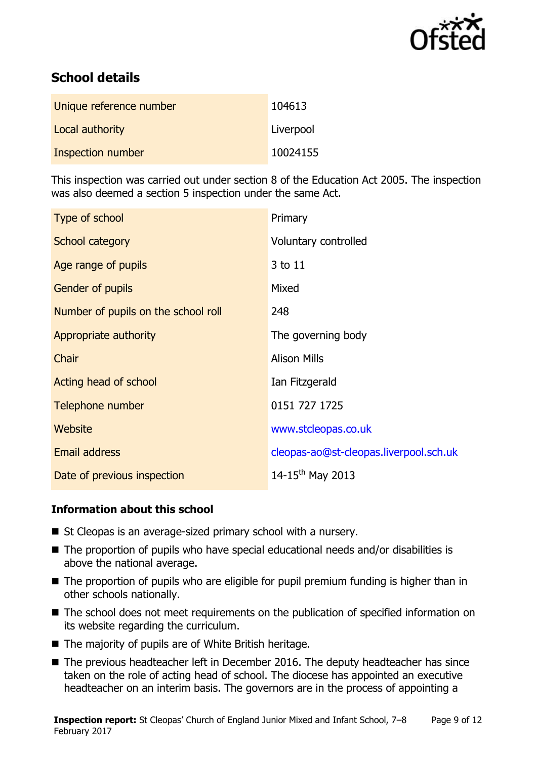

# **School details**

| Unique reference number | 104613    |
|-------------------------|-----------|
| Local authority         | Liverpool |
| Inspection number       | 10024155  |

This inspection was carried out under section 8 of the Education Act 2005. The inspection was also deemed a section 5 inspection under the same Act.

| Type of school                      | Primary                                |
|-------------------------------------|----------------------------------------|
| School category                     | Voluntary controlled                   |
| Age range of pupils                 | 3 to 11                                |
| Gender of pupils                    | Mixed                                  |
| Number of pupils on the school roll | 248                                    |
| Appropriate authority               | The governing body                     |
| Chair                               | <b>Alison Mills</b>                    |
| Acting head of school               | Ian Fitzgerald                         |
| Telephone number                    | 0151 727 1725                          |
| <b>Website</b>                      | www.stcleopas.co.uk                    |
| Email address                       | cleopas-ao@st-cleopas.liverpool.sch.uk |
| Date of previous inspection         | 14-15 <sup>th</sup> May 2013           |

# **Information about this school**

- St Cleopas is an average-sized primary school with a nursery.
- $\blacksquare$  The proportion of pupils who have special educational needs and/or disabilities is above the national average.
- The proportion of pupils who are eligible for pupil premium funding is higher than in other schools nationally.
- The school does not meet requirements on the publication of specified information on its website regarding the curriculum.
- The majority of pupils are of White British heritage.
- The previous headteacher left in December 2016. The deputy headteacher has since taken on the role of acting head of school. The diocese has appointed an executive headteacher on an interim basis. The governors are in the process of appointing a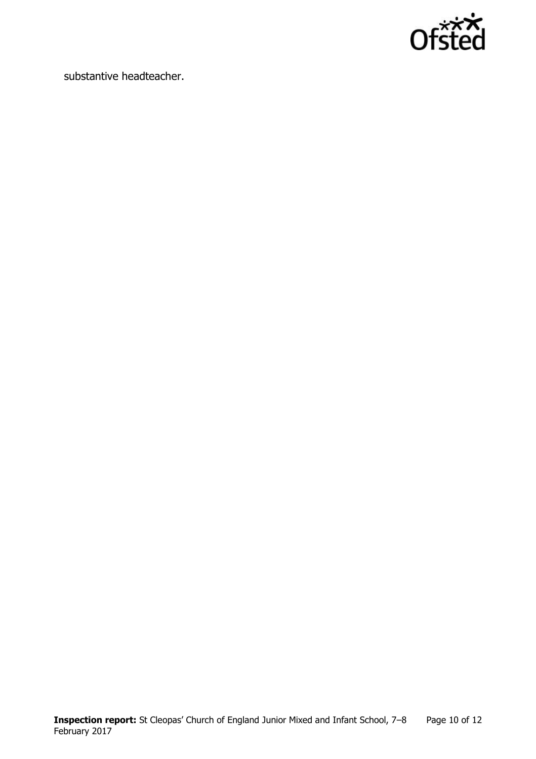

substantive headteacher.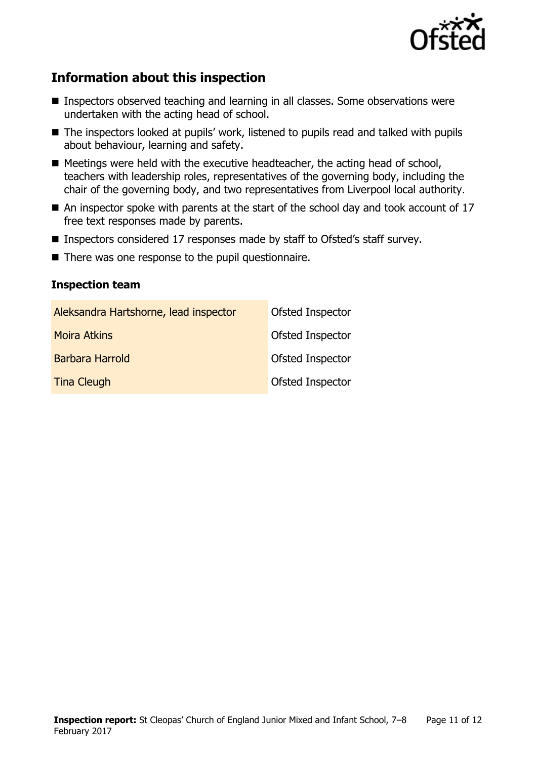

# **Information about this inspection**

- Inspectors observed teaching and learning in all classes. Some observations were undertaken with the acting head of school.
- The inspectors looked at pupils' work, listened to pupils read and talked with pupils about behaviour, learning and safety.
- $\blacksquare$  Meetings were held with the executive headteacher, the acting head of school, teachers with leadership roles, representatives of the governing body, including the chair of the governing body, and two representatives from Liverpool local authority.
- $\blacksquare$  An inspector spoke with parents at the start of the school day and took account of 17 free text responses made by parents.
- Inspectors considered 17 responses made by staff to Ofsted's staff survey.
- There was one response to the pupil questionnaire.

# **Inspection team**

| Aleksandra Hartshorne, lead inspector | Ofsted Inspector |
|---------------------------------------|------------------|
| <b>Moira Atkins</b>                   | Ofsted Inspector |
| <b>Barbara Harrold</b>                | Ofsted Inspector |
| <b>Tina Cleugh</b>                    | Ofsted Inspector |